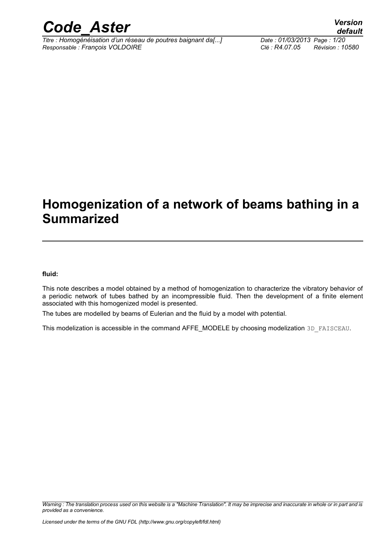

*Titre : Homogénéisation d'un réseau de poutres baignant da[...] Date : 01/03/2013 Page : 1/20 Responsable : François VOLDOIRE Clé : R4.07.05 Révision : 10580*

*default*

## **Homogenization of a network of beams bathing in a Summarized**

#### **fluid:**

This note describes a model obtained by a method of homogenization to characterize the vibratory behavior of a periodic network of tubes bathed by an incompressible fluid. Then the development of a finite element associated with this homogenized model is presented.

The tubes are modelled by beams of Eulerian and the fluid by a model with potential.

This modelization is accessible in the command AFFE\_MODELE by choosing modelization 3D\_FAISCEAU.

*Warning : The translation process used on this website is a "Machine Translation". It may be imprecise and inaccurate in whole or in part and is provided as a convenience.*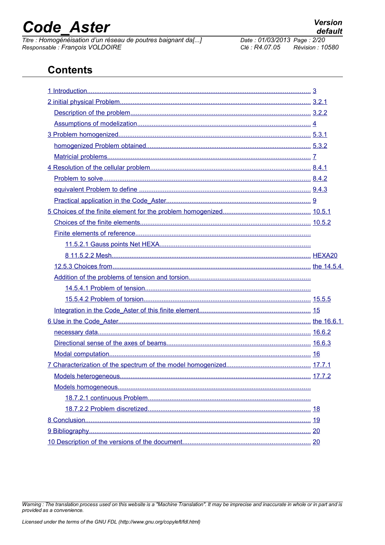# **Code Aster**

Titre : Homogénéisation d'un réseau de poutres baignant da[...] Responsable : François VOLDOIRE

## **Contents**

Warning : The translation process used on this website is a "Machine Translation". It may be imprecise and inaccurate in whole or in part and is provided as a convenience.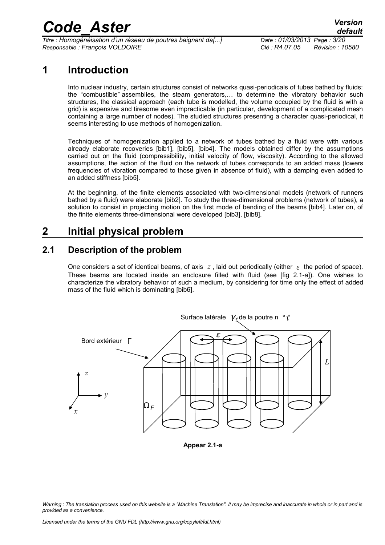*Titre : Homogénéisation d'un réseau de poutres baignant da[...] Date : 01/03/2013 Page : 3/20 Responsable : François VOLDOIRE Clé : R4.07.05 Révision : 10580*

## **1 Introduction**

<span id="page-2-0"></span>Into nuclear industry, certain structures consist of networks quasi-periodicals of tubes bathed by fluids: the "combustible" assemblies, the steam generators,… to determine the vibratory behavior such structures, the classical approach (each tube is modelled, the volume occupied by the fluid is with a grid) is expensive and tiresome even impracticable (in particular, development of a complicated mesh containing a large number of nodes). The studied structures presenting a character quasi-periodical, it seems interesting to use methods of homogenization.

Techniques of homogenization applied to a network of tubes bathed by a fluid were with various already elaborate recoveries [bib1], [bib5], [bib4]. The models obtained differ by the assumptions carried out on the fluid (compressibility, initial velocity of flow, viscosity). According to the allowed assumptions, the action of the fluid on the network of tubes corresponds to an added mass (lowers frequencies of vibration compared to those given in absence of fluid), with a damping even added to an added stiffness [bib5].

At the beginning, of the finite elements associated with two-dimensional models (network of runners bathed by a fluid) were elaborate [bib2]. To study the three-dimensional problems (network of tubes), a solution to consist in projecting motion on the first mode of bending of the beams [bib4]. Later on, of the finite elements three-dimensional were developed [bib3], [bib8].

## <span id="page-2-2"></span>**2 Initial physical problem**

### **2.1 Description of the problem**

<span id="page-2-1"></span>One considers a set of identical beams, of axis  $z$ , laid out periodically (either  $\epsilon$  the period of space). These beams are located inside an enclosure filled with fluid (see [fig 2.1-a]). One wishes to characterize the vibratory behavior of such a medium, by considering for time only the effect of added mass of the fluid which is dominating [bib6].



**Appear 2.1-a**

*Warning : The translation process used on this website is a "Machine Translation". It may be imprecise and inaccurate in whole or in part and is provided as a convenience.*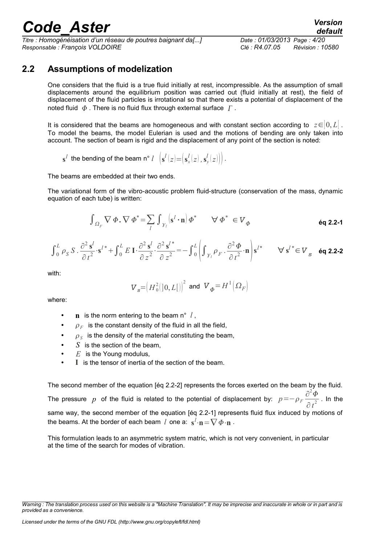*Titre : Homogénéisation d'un réseau de poutres baignant da[...] Date : 01/03/2013 Page : 4/20 Responsable : François VOLDOIRE Clé : R4.07.05 Révision : 10580*

### **2.2 Assumptions of modelization**

<span id="page-3-0"></span>One considers that the fluid is a true fluid initially at rest, incompressible. As the assumption of small displacements around the equilibrium position was carried out (fluid initially at rest), the field of displacement of the fluid particles is irrotational so that there exists a potential of displacement of the noted fluid  $\phi$ . There is no fluid flux through external surface  $\Gamma$ .

It is considered that the beams are homogeneous and with constant section according to z∈0, *L*[. To model the beams, the model Eulerian is used and the motions of bending are only taken into account. The section of beam is rigid and the displacement of any point of the section is noted:

$$
\mathbf{s}^l \text{ the bending of the beam } \mathbf{n}^\circ \; l \;\; \left(\mathbf{s}^l\!\left(z\right) \!=\! \left(\mathbf{s}^l_x\!\left(z\right), \mathbf{s}^l_y\!\left(z\right)\right)\right).
$$

The beams are embedded at their two ends.

The variational form of the vibro-acoustic problem fluid-structure (conservation of the mass, dynamic equation of each tube) is written:

$$
\int_{\Omega_F} \nabla \Phi \cdot \nabla \Phi^* = \sum_l \int_{\gamma_l} \left( \mathbf{s}^l \cdot \mathbf{n} \right) \Phi^* \qquad \forall \Phi^* \in V_{\Phi}
$$

$$
\int_0^L \rho_S S \cdot \frac{\partial^2 s^l}{\partial t^2} \cdot s^{l^*} + \int_0^L E I \cdot \frac{\partial^2 s^l}{\partial z^2} \cdot \frac{\partial^2 s^{l^*}}{\partial z^2} = -\int_0^L \left( \int_{\gamma_l} \rho_F \cdot \frac{\partial^2 \Phi}{\partial t^2} \cdot \mathbf{n} \right) s^{l^*} \qquad \forall s^{l^*} \in V_s \quad \text{éq 2.2-2}
$$

with:

$$
\boldsymbol{V}_s\!\!=\!\!\left(H_0^2\!\left(\left]0,L\right[\right)\right)^2\text{ and }\boldsymbol{V}_{\varPhi}\!\!=\!H^1\!\left(\boldsymbol{\varOmega}_{F}\right)
$$

where:

- $\mathbf{n}$  is the norm entering to the beam n°  $l$ ,
- $\rho_F$  is the constant density of the fluid in all the field,
- $\rho_{\rm S}$  is the density of the material constituting the beam,
- *S* is the section of the beam.
- *E* is the Young modulus,
- I is the tensor of inertia of the section of the beam.

The second member of the equation [éq 2.2-2] represents the forces exerted on the beam by the fluid. The pressure *p* of the fluid is related to the potential of displacement by:  $p = -\rho_F \frac{\partial^2 \Phi}{\partial x^2}$  $\frac{1}{\partial t^2}$ . In the same way, the second member of the equation [éq 2.2-1] represents fluid flux induced by motions of the beams. At the border of each beam  $\,l\,$  one a:  $\,\mathbf{s}^l\!\cdot\!\mathbf{n}\!=\!\nabla\,\varPhi\!\cdot\!\mathbf{n}$  .

This formulation leads to an asymmetric system matric, which is not very convenient, in particular at the time of the search for modes of vibration.

*Warning : The translation process used on this website is a "Machine Translation". It may be imprecise and inaccurate in whole or in part and is provided as a convenience.*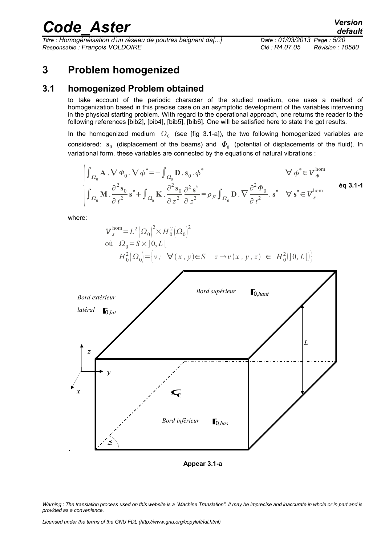*Titre : Homogénéisation d'un réseau de poutres baignant da[...] Date : 01/03/2013 Page : 5/20 Responsable : François VOLDOIRE Clé : R4.07.05 Révision : 10580*

*default*

### <span id="page-4-1"></span>**3 Problem homogenized**

#### **3.1 homogenized Problem obtained**

<span id="page-4-0"></span>to take account of the periodic character of the studied medium, one uses a method of homogenization based in this precise case on an asymptotic development of the variables intervening in the physical starting problem. With regard to the operational approach, one returns the reader to the following references [bib2], [bib4], [bib5], [bib6]. One will be satisfied here to state the got results.

In the homogenized medium  $\Omega_0$  (see [fig 3.1-a]), the two following homogenized variables are considered:  $\mathbf{s}_0$  (displacement of the beams) and  $\boldsymbol{\phi}_0$  (potential of displacements of the fluid). In variational form, these variables are connected by the equations of natural vibrations :

$$
\begin{cases}\n\int_{\Omega_0} \mathbf{A} \cdot \nabla \Phi_0 \cdot \nabla \phi^* = -\int_{\Omega_0} \mathbf{D} \cdot \mathbf{s}_0 \cdot \phi^* & \forall \phi^* \in V_{\phi}^{\text{hom}} \\
\int_{\Omega_0} \mathbf{M} \cdot \frac{\partial^2 \mathbf{s}_0}{\partial t^2} \mathbf{s}^* + \int_{\Omega_0} \mathbf{K} \cdot \frac{\partial^2 \mathbf{s}_0}{\partial z^2} \frac{\partial^2 \mathbf{s}^*}{\partial z^2} = \rho_F \int_{\Omega_0} \mathbf{D} \cdot \nabla \frac{\partial^2 \Phi_0}{\partial t^2} \cdot \mathbf{s}^* & \forall \mathbf{s}^* \in V_{s}^{\text{hom}}\n\end{cases}
$$

where:

$$
\begin{aligned} \nabla_s^{\text{hom}} &= L^2 \left( \Omega_0 \right)^2 \times H_0^2 \left( \Omega_0 \right)^2 \\ \n\text{où} \quad \Omega_0 &= S \times \left[ 0, L \left[ H_0^2 \left( \Omega_0 \right) = \left[ \nu \, ; \ \nabla(x, y) \in S \quad z \to \nu(x, y, z) \in H_0^2 \left[ \left[ 0, L \right] \right] \right] \right. \\ \n\left. H_0^2 \left( \Omega_0 \right) &= \left[ \nu \, ; \ \nabla(x, y) \in S \quad z \to \nu(x, y, z) \in H_0^2 \left[ \left[ 0, L \right] \right] \right] \n\end{aligned}
$$



**Appear 3.1-a**

*Warning : The translation process used on this website is a "Machine Translation". It may be imprecise and inaccurate in whole or in part and is provided as a convenience.*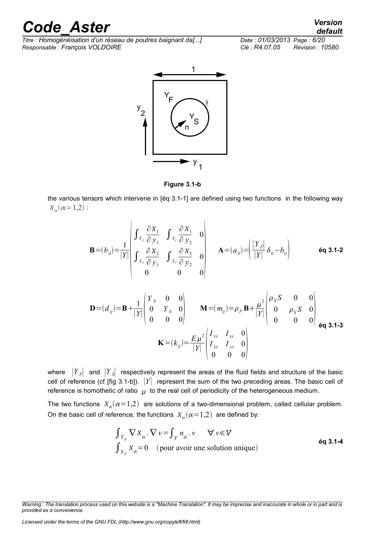*Titre : Homogénéisation d'un réseau de poutres baignant da[...] Date : 01/03/2013 Page : 6/20 Responsable : François VOLDOIRE Clé : R4.07.05 Révision : 10580*



**Figure 3.1-b**

the various tensors which intervene in [éq 3.1-1] are defined using two functions in the following way  $X_{\alpha}(\alpha=1,2)$ :

$$
\mathbf{B} = (b_{ij}) = \frac{1}{|Y|} \begin{vmatrix} \int_{Y_F} \frac{\partial X_1}{\partial y_1} & \int_{Y_F} \frac{\partial X_1}{\partial y_2} & 0 \\ \int_{Y_F} \frac{\partial X_2}{\partial y_1} & \int_{Y_F} \frac{\partial X_2}{\partial y_2} & 0 \\ 0 & 0 & 0 \end{vmatrix} \qquad \mathbf{A} = (a_{ij}) = \left( \frac{|Y_F|}{|Y|} \delta_{ij} - b_{ij} \right) \qquad \text{6q 3.1-2}
$$
  

$$
\mathbf{D} = (d_{ij}) = \mathbf{B} + \frac{1}{|Y|} \begin{vmatrix} Y_S & 0 & 0 \\ 0 & Y_S & 0 \\ 0 & 0 & 0 \end{vmatrix} \qquad \mathbf{M} = (m_{ij}) = \rho_F \mathbf{B} + \frac{\mu^2}{|Y|} \begin{vmatrix} \rho_S S & 0 & 0 \\ 0 & \rho_S S & 0 \\ 0 & 0 & 0 \end{vmatrix} \qquad \text{6q 3.1-3}
$$

$$
\mathbf{K} = (k_{ij}) = \frac{E \mu^2}{|Y|} \begin{pmatrix} I_{xx} & I_{xy} & 0 \\ I_{xy} & I_{yy} & 0 \\ 0 & 0 & 0 \end{pmatrix}
$$

where ∣*Y <sup>F</sup>*∣ and ∣*Y <sup>S</sup>*∣ respectively represent the areas of the fluid fields and structure of the basic cell of reference (cf [fig 3.1-b]). ∣*Y*∣ represent the sum of the two preceding areas. The basic cell of reference is homothetic of ratio  $\mu$  to the real cell of periodicity of the heterogeneous medium.

The two functions  $\chi_{\alpha}(\alpha=1,2)$  are solutions of a two-dimensional problem, called cellular problem. On the basic cell of reference, the functions  $X_{\alpha}(\alpha=1,2)$  are defined by:

$$
\int_{Y_F} \nabla X_{\alpha} \cdot \nabla v = \int_{Y} n_{\alpha} \cdot v \qquad \forall v \in V
$$
  
6q 3.1-4  

$$
\int_{Y_F} X_{\alpha} = 0 \quad \text{(pour avoir une solution unique)}
$$

*Licensed under the terms of the GNU FDL (http://www.gnu.org/copyleft/fdl.html)*

*default*

*Warning : The translation process used on this website is a "Machine Translation". It may be imprecise and inaccurate in whole or in part and is provided as a convenience.*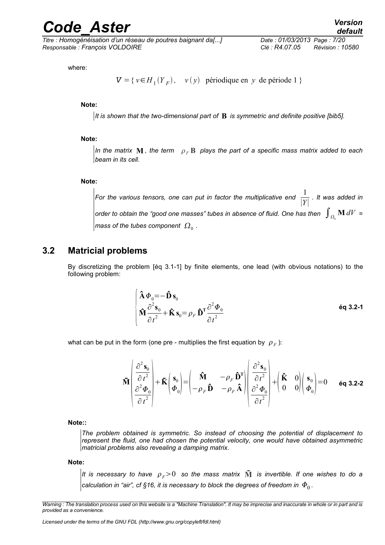*Titre : Homogénéisation d'un réseau de poutres baignant da[...] Date : 01/03/2013 Page : 7/20 Responsable : François VOLDOIRE Clé : R4.07.05 Révision : 10580*

where:

 $V = \{ v \in H_1(Y_F), v(y) \text{ periodic en } y \text{ de période } 1 \}$ 

**Note:**

*It is shown that the two-dimensional part of* **B** *is symmetric and definite positive [bib5].*

#### **Note:**

*In the matrix* **M**, the term  $\rho_F$ **B** plays the part of a specific mass matrix added to each *beam in its cell.*

#### **Note:**

For the various tensors, one can put in factor the multiplicative end  $\frac{1}{1+r}$ ∣*Y*∣ . *It was added in order to obtain the "good one masses" tubes in absence of fluid. One has then*  $\,\int_{\varOmega_{_{0}}} \mathbf{M} \,dV\,$  *=* mass of the tubes component  $\,\Omega_{0}^{\,}$  .

#### **3.2 Matricial problems**

<span id="page-6-0"></span>By discretizing the problem [éq 3.1-1] by finite elements, one lead (with obvious notations) to the following problem:

$$
\begin{cases}\n\hat{\mathbf{A}} \boldsymbol{\Phi}_0 = -\hat{\mathbf{D}} \mathbf{s}_0 \\
\hat{\mathbf{M}} \frac{\partial^2 \mathbf{s}_0}{\partial t^2} + \hat{\mathbf{K}} \mathbf{s}_0 = \rho_F \hat{\mathbf{D}}^T \frac{\partial^2 \boldsymbol{\Phi}_0}{\partial t^2}\n\end{cases}
$$
\n
$$
\hat{\mathbf{H}} \frac{\partial^2 \mathbf{s}_0}{\partial t^2} + \hat{\mathbf{K}} \mathbf{s}_0 = \rho_F \hat{\mathbf{D}}^T \frac{\partial^2 \boldsymbol{\Phi}_0}{\partial t^2}
$$

what can be put in the form (one pre - multiplies the first equation by  $|\rho_{\overline{F}}$  ):

$$
\widetilde{\mathbf{M}}\left(\begin{array}{c}\frac{\partial^{2}\mathbf{s}_{0}}{\partial t^{2}}\\ \frac{\partial^{2}\boldsymbol{\Phi}_{0}}{\partial t^{2}}\end{array}\right)+\widetilde{\mathbf{K}}\left(\begin{array}{c}\mathbf{s}_{0}\\ \boldsymbol{\Phi}_{0}\end{array}\right)=\left(\begin{array}{cc}\widehat{\mathbf{M}} & -\rho_{F}\widehat{\mathbf{D}}^{\mathrm{T}}\\ -\rho_{F}\widehat{\mathbf{D}} & -\rho_{F}\widehat{\mathbf{A}}\end{array}\right)\left(\begin{array}{c}\frac{\partial^{2}\mathbf{s}_{0}}{\partial t^{2}}\\ \frac{\partial^{2}\boldsymbol{\Phi}_{0}}{\partial t^{2}}\end{array}\right)+\left(\begin{array}{cc}\widehat{\mathbf{K}} & 0\\ 0 & 0\end{array}\right)\left(\begin{array}{c}\mathbf{s}_{0}\\ \boldsymbol{\Phi}_{0}\end{array}\right)=0\qquad\text{Eq 3.2-2}
$$

**Note::**

*The problem obtained is symmetric. So instead of choosing the potential of displacement to represent the fluid, one had chosen the potential velocity, one would have obtained asymmetric matricial problems also revealing a damping matrix.*

**Note:**

 $|$ It is necessary to have  $\rho_{\scriptscriptstyle F}$ >0 so the mass matrix  $\tilde{\mathbf{M}}$  is invertible. If one wishes to do a calculation in "air", cf [§16,](#page-15-0) it is necessary to block the degrees of freedom in  $\varPhi_{0}^{}$  .

*Warning : The translation process used on this website is a "Machine Translation". It may be imprecise and inaccurate in whole or in part and is provided as a convenience.*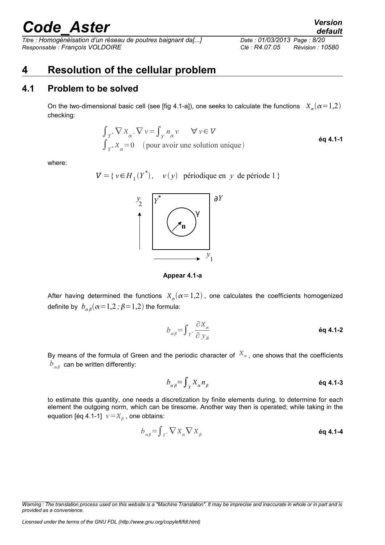*Titre : Homogénéisation d'un réseau de poutres baignant da[...] Date : 01/03/2013 Page : 8/20 Responsable : François VOLDOIRE Clé : R4.07.05 Révision : 10580*

### <span id="page-7-1"></span>**4 Resolution of the cellular problem**

#### **4.1 Problem to be solved**

<span id="page-7-0"></span>On the two-dimensional basic cell (see [fig 4.1-a]), one seeks to calculate the functions  $\chi_{\alpha}^{}(\alpha\!=\!1,\!2)$ checking:

$$
\int_{Y^*} \nabla \chi_{\alpha} \cdot \nabla \nu = \int_{Y} n_{\alpha} \nu \qquad \forall \nu \in V
$$
  
 
$$
\int_{Y^*} \chi_{\alpha} = 0 \quad \text{(pour avoir une solution unique)}
$$

where:

 $V = \{ v \in H_1(Y^*)$ ,  $v(y)$  périodique en *y* de période 1 }



**Appear 4.1-a**

After having determined the functions  $X_\alpha(\alpha=1,2)$  , one calculates the coefficients homogenized definite by  $\left.b_{\alpha\beta}(\alpha=1,2\ ;\beta=1,2\right)$  the formula:

$$
b_{\alpha\beta} = \int_{Y^*} \frac{\partial X_{\alpha}}{\partial y_{\beta}}
$$

By means of the formula of Green and the periodic character of  $X_{\alpha}$ , one shows that the coefficients  $b_{\alpha\beta}^{\phantom{\dagger}}$  can be written differently:

$$
b_{\alpha\beta} = \int_{\gamma} X_{\alpha} n_{\beta} \qquad \qquad \text{Eq 4.1-3}
$$

to estimate this quantity, one needs a discretization by finite elements during, to determine for each element the outgoing norm, which can be tiresome. Another way then is operated; while taking in the equation [éq 4.1-1]  $v = X_{\beta}$ , one obtains:

$$
b_{\alpha\beta} = \int_{Y^*} \nabla X_{\alpha} \nabla X_{\beta}
$$

*Warning : The translation process used on this website is a "Machine Translation". It may be imprecise and inaccurate in whole or in part and is provided as a convenience.*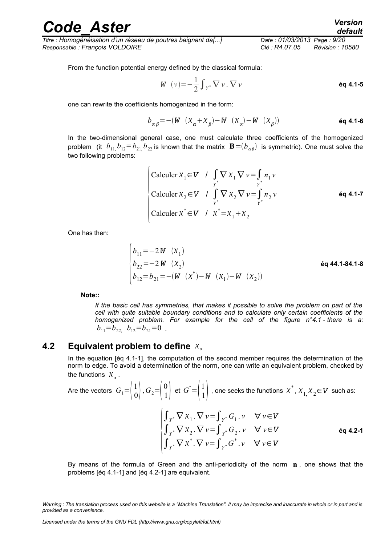*Titre : Homogénéisation d'un réseau de poutres baignant da[...] Date : 01/03/2013 Page : 9/20 Responsable : François VOLDOIRE Clé : R4.07.05 Révision : 10580*

From the function potential energy defined by the classical formula:

$$
W(v) = -\frac{1}{2} \int_{Y^*} \nabla v \cdot \nabla v
$$

one can rewrite the coefficients homogenized in the form:

$$
b_{\alpha\beta} = -(W \left(X_{\alpha} + X_{\beta}\right) - W \left(X_{\alpha}\right) - W \left(X_{\beta}\right))
$$

In the two-dimensional general case, one must calculate three coefficients of the homogenized problem (it  $b_{11}$ ,  $b_{12}$ = $b_{21}$ ,  $b_{22}$  is known that the matrix  $\, {\bf B}$ = $(b_{\alpha\beta})\,$  is symmetric). One must solve the two following problems:

Calculate 
$$
X_1 \in V \quad \int \limits_{Y^*} \nabla X_1 \nabla v = \int \limits_{Y^*} n_1 v
$$

\nCalculate  $X_2 \in V \quad \int \limits_{Y^*} \nabla X_2 \nabla v = \int \limits_{Y^*} n_2 v$ 

\nCalculate  $x^* \in V \quad \int \limits_{Y^*} x^* = x_1 + x_2$ 

\nCalculate  $x^* \in V \quad \int \limits_{Y^*} x^* = x_1 + x_2$ 

One has then:

$$
\begin{cases}\nb_{11} = -2 W & (X_1) \\
b_{22} = -2 W & (X_2) \\
b_{12} = b_{21} = -(W & (X^*) - W & (X_1) - W & (X_2)\n\end{cases}
$$
\n6q 44.1-84.1-8

**Note::**

*If the basic cell has symmetries, that makes it possible to solve the problem on part of the cell with quite suitable boundary conditions and to calculate only certain coefficients of the homogenized problem. For example for the cell of the figure n°4.1 - there is a:*  $b_{11}=b_{22}$ ,  $b_{12}=b_{21}=0$ .

#### **4.2 Equivalent problem to define**

<span id="page-8-0"></span>In the equation [éq 4.1-1], the computation of the second member requires the determination of the norm to edge. To avoid a determination of the norm, one can write an equivalent problem, checked by the functions  $X_{\alpha}$ .

Are the vectors  $\left. G_1^{}\text{=} \right| \begin{matrix} 1 \ 0 \end{matrix}$  $\begin{pmatrix} 1 \\ 0 \end{pmatrix}$ ,  $G_2 = \begin{pmatrix} 0 \\ 1 \end{pmatrix}$  $\begin{pmatrix} 0 \\ 1 \end{pmatrix}$  et  $G^* = \begin{pmatrix} 1 \\ 1 \end{pmatrix}$  $\begin{bmatrix} 1 \\ 1 \end{bmatrix}$  , one seeks the functions  $x^*$ ,  $x_{1,}x_{2}$ ∈ $\bm{V}$  such as:

> $\int_{Y^*} \nabla \chi^* \cdot \nabla v = \int_{Y^*} G^* \cdot v \quad \forall v \in V$  $\int_{Y^*} \nabla \chi_1 \cdot \nabla v = \int_{Y^*} G_1 \cdot v \quad \forall v \in V$  $\int_{Y^*} \nabla \chi_2 \cdot \nabla v = \int_{Y^*} G_2 \cdot v \quad \forall v \in V$ **éq 4.2-1**

By means of the formula of Green and the anti-periodicity of the norm **n** , one shows that the problems [éq 4.1-1] and [éq 4.2-1] are equivalent.

*Warning : The translation process used on this website is a "Machine Translation". It may be imprecise and inaccurate in whole or in part and is provided as a convenience.*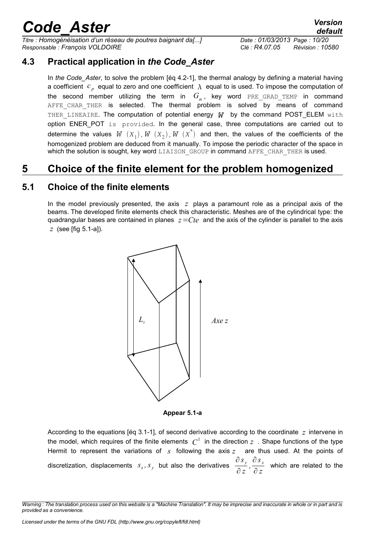*Titre : Homogénéisation d'un réseau de poutres baignant da[...] Date : 01/03/2013 Page : 10/20 Responsable : François VOLDOIRE Clé : R4.07.05 Révision : 10580*

### **4.3 Practical application in** *the Code\_Aster*

<span id="page-9-2"></span>In *the Code\_Aster*, to solve the problem [éq 4.2-1], the thermal analogy by defining a material having a coefficient  $c_{p}^{\dagger}$  equal to zero and one coefficient  $\lambda$  equal to is used. To impose the computation of the second member utilizing the term in  $G_{_{\alpha}}$ , key word  $_{\rm PRE\_GRAD\_TEMP}$  in command AFFE CHAR THER is selected. The thermal problem is solved by means of command THER LINEAIRE. The computation of potential energy *W* by the command POST\_ELEM with option ENER POT is provided. In the general case, three computations are carried out to determine the values  $W^-(X^-_1)$ ,  $W^-(X^-_2)$ ,  $W^-(X^*)$  and then, the values of the coefficients of the homogenized problem are deduced from it manually. To impose the periodic character of the space in which the solution is sought, key word LIAISON GROUP in command AFFE CHAR THER is used.

## <span id="page-9-1"></span>**5 Choice of the finite element for the problem homogenized**

### **5.1 Choice of the finite elements**

<span id="page-9-0"></span>In the model previously presented, the axis *z* plays a paramount role as a principal axis of the beams. The developed finite elements check this characteristic. Meshes are of the cylindrical type: the quadrangular bases are contained in planes *z*=*Cte* and the axis of the cylinder is parallel to the axis *z* (see [fig 5.1-a]).



**Appear 5.1-a**

According to the equations [éq 3.1-1], of second derivative according to the coordinate *z* intervene in the model, which requires of the finite elements  $|C^1|$  in the direction  $z$  . Shape functions of the type Hermit to represent the variations of *s* following the axis *z* are thus used. At the points of discretization, displacements  $s_x, s_y$  but also the derivatives ∂ *s <sup>y</sup>* ∂ *z*  $\frac{\partial s_x}{\partial x}$  $\frac{\partial^2 x}{\partial z}$  which are related to the

*Warning : The translation process used on this website is a "Machine Translation". It may be imprecise and inaccurate in whole or in part and is provided as a convenience.*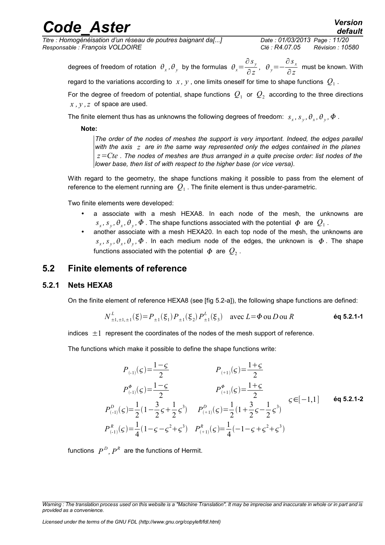*Titre : Homogénéisation d'un réseau de poutres baignant da[...] Date : 01/03/2013 Page : 11/20 Responsable : François VOLDOIRE Clé : R4.07.05 Révision : 10580*

degrees of freedom of rotation  $\theta_x$ ,  $\theta_y$  by the formulas  $\theta_x =$ ∂ *s <sup>y</sup>*  $\frac{\partial^2 y}{\partial z^2}$ ,  $\theta_y = -$ ∂ *s <sup>x</sup>*  $\frac{\partial^2 x}{\partial z}$  must be known. With

regard to the variations according to  $\,x$  ,  $y$  , one limits oneself for time to shape functions  $\,{\cal Q}_1$  .

For the degree of freedom of potential, shape functions  $\,\mathcal{Q}_1\,$  or  $\,\mathcal{Q}_2\,$  according to the three directions *x , y ,z* of space are used.

The finite element thus has as unknowns the following degrees of freedom:  $s_x$ ,  $s_y$ ,  $\theta_x$ ,  $\theta_y$ ,  $\Phi$  .

**Note:**

*The order of the nodes of meshes the support is very important. Indeed, the edges parallel with the axis z are in the same way represented only the edges contained in the planes z*=*Cte . The nodes of meshes are thus arranged in a quite precise order: list nodes of the lower base, then list of with respect to the higher base (or vice versa).*

With regard to the geometry, the shape functions making it possible to pass from the element of reference to the element running are  $\,{\cal Q}_1$  . The finite element is thus under-parametric.

Two finite elements were developed:

- a associate with a mesh HEXA8. In each node of the mesh, the unknowns are  $s_x$ ,  $s_y$ ,  $\theta_x$ ,  $\theta_y$ ,  $\varPhi$  . The shape functions associated with the potential  $| \varPhi |$  are  $| Q_1|$ .
- another associate with a mesh HEXA20. In each top node of the mesh, the unknowns are  $s_x$ ,  $s_y$ ,  $\theta_x$ ,  $\theta_y$ ,  $\Phi$ . In each medium node of the edges, the unknown is  $\Phi$ . The shape functions associated with the potential  $\,\varPhi\,$  are  $\,{Q}_2$  .

### <span id="page-10-1"></span>**5.2 Finite elements of reference**

#### **5.2.1 Nets HEXA8**

<span id="page-10-0"></span>On the finite element of reference HEXA8 (see [fig 5.2-a]), the following shape functions are defined:

$$
N_{\pm 1,\pm 1,\pm 1}^{L}(\xi) = P_{\pm 1}(\xi_1) P_{\pm 1}(\xi_2) P_{\pm 1}^{L}(\xi_3) \quad \text{avec } L = \Phi \text{ ou } D \text{ ou } R \tag{6q 5.2.1-1}
$$

indices  $\pm 1$  represent the coordinates of the nodes of the mesh support of reference.

The functions which make it possible to define the shape functions write:

$$
P_{(1)}(c) = \frac{1-c}{2}
$$
  
\n
$$
P_{(2)}^{\Phi}(c) = \frac{1-c}{2}
$$
  
\n
$$
P_{(3)}^{\Phi}(c) = \frac{1-c}{2}
$$
  
\n
$$
P_{(4)}^{\Phi}(c) = \frac{1+2}{2}
$$
  
\n
$$
P_{(5)}^{\Phi}(c) = \frac{1}{2}(1-\frac{3}{2}c+\frac{1}{2}c^3)
$$
  
\n
$$
P_{(4)}^{\Phi}(c) = \frac{1}{2}(1+\frac{3}{2}c-\frac{1}{2}c^3)
$$
  
\n
$$
P_{(5)}^{\Phi}(c) = \frac{1}{2}(1-\frac{3}{2}c+\frac{1}{2}c^3)
$$
  
\n
$$
P_{(5)}^{\Phi}(c) = \frac{1}{2}(1-\frac{3}{2}c+\frac{1}{2}c^3)
$$
  
\n
$$
P_{(4)}^{\Phi}(c) = \frac{1}{2}(-1-\frac{3}{2}c+\frac{1}{2}c^3)
$$
  
\n
$$
P_{(5)}^{\Phi}(c) = \frac{1}{2}(1-\frac{3}{2}c+\frac{1}{2}c^3)
$$
  
\n
$$
P_{(5)}^{\Phi}(c) = \frac{1}{2}(1-\frac{3}{2}c+\frac{1}{2}c^3)
$$
  
\n
$$
P_{(6)}^{\Phi}(c) = \frac{1}{2}(1-\frac{3}{2}c+\frac{1}{2}c^3)
$$
  
\n
$$
P_{(7)}^{\Phi}(c) = \frac{1}{2}(1-\frac{3}{2}c+\frac{1}{2}c^3)
$$
  
\n
$$
P_{(8)}^{\Phi}(c) = \frac{1}{2}(1-\frac{3}{2}c+\frac{1}{2}c^3)
$$
  
\n
$$
P_{(1)}^{\Phi}(c) = \frac{1}{2}(1-\frac{3}{2}c+\frac{1}{2}c^3)
$$
  
\n
$$
P_{(1)}^{\Phi}(c) = \frac{1}{2}(1-\frac{3}{2}c+\frac{1}{2}c^3)
$$
  
\n
$$
P_{(1)}^{\Phi}(c) = \frac{1}{2}(1-\frac{3}{2}c+\frac{1}{2}c
$$

functions  $\ P^D, \ P^R$  are the functions of Hermit.

*Warning : The translation process used on this website is a "Machine Translation". It may be imprecise and inaccurate in whole or in part and is provided as a convenience.*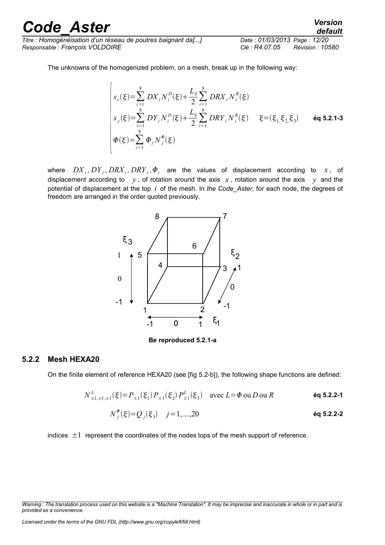*Titre : Homogénéisation d'un réseau de poutres baignant da[...] Date : 01/03/2013 Page : 12/20 Responsable : François VOLDOIRE Clé : R4.07.05 Révision : 10580*

The unknowns of the homogenized problem, on a mesh, break up in the following way:

$$
\begin{cases}\ns_x(\xi) = \sum_{i=1}^8 DX_i N_i^D(\xi) + \frac{L_s}{2} \sum_{i=1}^8 DRX_i N_i^R(\xi) \\
s_y(\xi) = \sum_{i=1}^8 DY_i N_i^D(\xi) + \frac{L_s}{2} \sum_{i=1}^8 DRY_i N_i^R(\xi) \quad \xi = (\xi_{1, \xi_{2, \xi_{3}}}) \quad \text{6q 5.2.1-3} \\
\Phi(\xi) = \sum_{i=1}^8 \Phi_j N_j^{\Phi}(\xi)\n\end{cases}
$$

where  $DX_i$ ,  $DY_i$ ,  $DRX_i$ ,  $DRY_i$ ,  $\Phi_i$  are the values of displacement according to  $x$ , of displacement according to  $y$ , of rotation around the axis  $x$ , rotation around the axis  $y$  and the potential of displacement at the top *i* of the mesh. In *the Code\_Aster*, for each node, the degrees of freedom are arranged in the order quoted previously.



**Be reproduced 5.2.1-a**

#### **5.2.2 Mesh HEXA20**

<span id="page-11-0"></span>On the finite element of reference HEXA20 (see [fig 5.2-b]), the following shape functions are defined:

$$
N_{\pm 1,\pm 1,\pm 1}^{L}(\xi) = P_{\pm 1}(\xi_1) P_{\pm 1}(\xi_2) P_{\pm 1}^{L}(\xi_3) \quad \text{avec } L = \Phi \text{ ou } D \text{ ou } R \tag{6q 5.2.2-1}
$$

$$
N_j^{\Phi}(\xi) = Q_j(\xi_3) \quad j = 1, ..., 20
$$

indices  $\pm 1$  represent the coordinates of the nodes tops of the mesh support of reference.

*Licensed under the terms of the GNU FDL (http://www.gnu.org/copyleft/fdl.html)*

*Warning : The translation process used on this website is a "Machine Translation". It may be imprecise and inaccurate in whole or in part and is provided as a convenience.*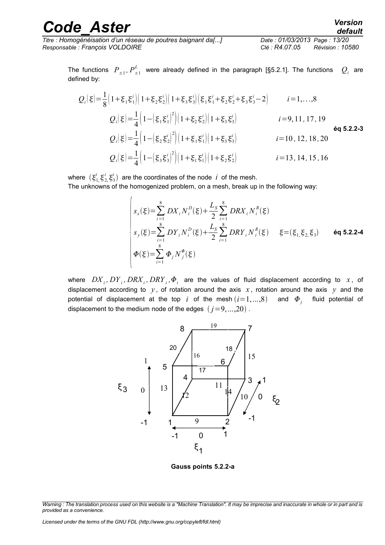*Titre : Homogénéisation d'un réseau de poutres baignant da[...] Date : 01/03/2013 Page : 13/20 Responsable : François VOLDOIRE Clé : R4.07.05 Révision : 10580*

The functions  $\; P_{\pm 1}, P_{\pm 1}^L\;$  were already defined in the paragraph [§5.2.1]. The functions  $\; Q_i$  $Q_i$  are defined by:

$$
Q_{i}(\xi) = \frac{1}{8} \left( 1 + \xi_{1} \xi_{1}^{i} \right) \left( 1 + \xi_{2} \xi_{2}^{i} \right) \left( 1 + \xi_{3} \xi_{3}^{i} \right) \left( \xi_{1} \xi_{1}^{i} + \xi_{2} \xi_{2}^{i} + \xi_{3} \xi_{3}^{i} - 2 \right) \qquad i = 1,...,8
$$
\n
$$
Q_{i}(\xi) = \frac{1}{4} \left( 1 - \left( \xi_{1} \xi_{1}^{i} \right)^{2} \right) \left( 1 + \xi_{2} \xi_{2}^{i} \right) \left( 1 + \xi_{3} \xi_{3}^{i} \right) \qquad i = 9, 11, 17, 19
$$
\n
$$
Q_{i}(\xi) = \frac{1}{4} \left( 1 - \left( \xi_{2} \xi_{2}^{i} \right)^{2} \right) \left( 1 + \xi_{1} \xi_{1}^{i} \right) \left( 1 + \xi_{3} \xi_{3}^{i} \right) \qquad i = 10, 12, 18, 20
$$
\n
$$
Q_{i}(\xi) = \frac{1}{4} \left( 1 - \left( \xi_{3} \xi_{3}^{i} \right)^{2} \right) \left( 1 + \xi_{1} \xi_{1}^{i} \right) \left( 1 + \xi_{2} \xi_{2}^{i} \right) \qquad i = 13, 14, 15, 16
$$

where  $(\xi_1^i, \xi_2^i, \xi_3^i)$  are the coordinates of the node *i* of the mesh.

The unknowns of the homogenized problem, on a mesh, break up in the following way:

$$
\begin{cases}\ns_x(\xi) = \sum_{i=1}^8 DX_i N_i^D(\xi) + \frac{L_S}{2} \sum_{i=1}^8 DRX_i N_i^R(\xi) \\
s_y(\xi) = \sum_{i=1}^8 DY_i N_i^D(\xi) + \frac{L_S}{2} \sum_{i=1}^8 DRY_i N_i^R(\xi) \quad \xi = (\xi_{1, \xi_{2, \xi_{3}}}) \quad \text{6q 5.2.2-4} \\
\Phi(\xi) = \sum_{i=1}^8 \Phi_j N_j^{\phi}(\xi)\n\end{cases}
$$

where  $\left. DX_{i}, DY_{i}, DRX_{i}, DRY_{i}, \Phi_{i} \right. \nonumber$  are the values of fluid displacement according to  $\left. x \right.$  , of displacement according to  $y$ , of rotation around the axis  $x$ , rotation around the axis  $y$  and the potential of displacement at the top *i* of the mesh  $(i=1,...,8)$  and  $\boldsymbol{\varPhi}_j$  fluid potential of displacement to the medium node of the edges  $(j=9,...,20)$ .



**Gauss points 5.2.2-a**

*Warning : The translation process used on this website is a "Machine Translation". It may be imprecise and inaccurate in whole or in part and is provided as a convenience.*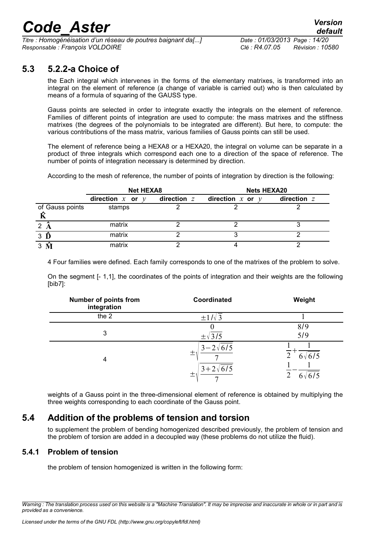*Titre : Homogénéisation d'un réseau de poutres baignant da[...] Date : 01/03/2013 Page : 14/20 Responsable : François VOLDOIRE Clé : R4.07.05 Révision : 10580*

### **5.3 5.2.2-a Choice of**

<span id="page-13-2"></span>the Each integral which intervenes in the forms of the elementary matrixes, is transformed into an integral on the element of reference (a change of variable is carried out) who is then calculated by means of a formula of squaring of the GAUSS type.

Gauss points are selected in order to integrate exactly the integrals on the element of reference. Families of different points of integration are used to compute: the mass matrixes and the stiffness matrixes (the degrees of the polynomials to be integrated are different). But here, to compute: the various contributions of the mass matrix, various families of Gauss points can still be used.

The element of reference being a HEXA8 or a HEXA20, the integral on volume can be separate in a product of three integrals which correspond each one to a direction of the space of reference. The number of points of integration necessary is determined by direction.

According to the mesh of reference, the number of points of integration by direction is the following:

|                 | <b>Net HEXA8</b>                  |               | <b>Nets HEXA20</b>   |             |
|-----------------|-----------------------------------|---------------|----------------------|-------------|
|                 | direction $x$ or<br>$\mathcal{V}$ | direction $z$ | direction $x$ or $y$ | direction z |
| of Gauss points | stamps                            |               |                      |             |
| 2               | matrix                            |               |                      |             |
| $3 \hat{D}$     | matrix                            |               |                      |             |
|                 | matrix                            |               |                      |             |

4 Four families were defined. Each family corresponds to one of the matrixes of the problem to solve.

On the segment [- 1,1], the coordinates of the points of integration and their weights are the following [bib7]:

| Number of points from<br>integration | Coordinated                                                      | Weight             |
|--------------------------------------|------------------------------------------------------------------|--------------------|
| the 2                                | $\pm 1/\sqrt{3}$                                                 |                    |
| 3                                    | $\pm\sqrt{3/5}$                                                  | 8/9<br>5/9         |
| 4                                    | $3 - 2\sqrt{6/5}$<br>土<br>$3 + 2\sqrt{6/5}$<br>土<br>$\mathbf{r}$ | 6/5<br>$6\sqrt{ }$ |

weights of a Gauss point in the three-dimensional element of reference is obtained by multiplying the three weights corresponding to each coordinate of the Gauss point.

### **5.4 Addition of the problems of tension and torsion**

<span id="page-13-1"></span>to supplement the problem of bending homogenized described previously, the problem of tension and the problem of torsion are added in a decoupled way (these problems do not utilize the fluid).

#### **5.4.1 Problem of tension**

<span id="page-13-0"></span>the problem of tension homogenized is written in the following form:

*Warning : The translation process used on this website is a "Machine Translation". It may be imprecise and inaccurate in whole or in part and is provided as a convenience.*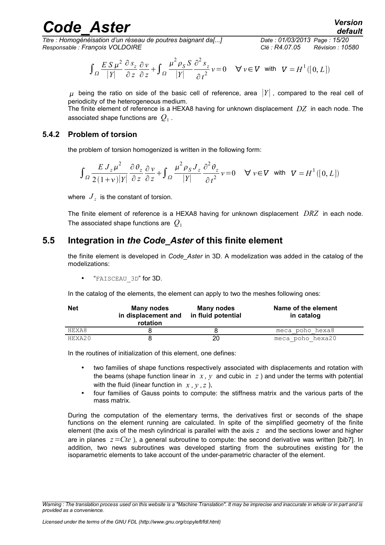*Titre : Homogénéisation d'un réseau de poutres baignant da[...] Date : 01/03/2013 Page : 15/20 Responsable : François VOLDOIRE Clé : R4.07.05 Révision : 10580*

$$
\int_{\Omega} \frac{E S \mu^2}{|Y|} \frac{\partial s_z}{\partial z} \frac{\partial v}{\partial z} + \int_{\Omega} \frac{\mu^2 \rho_S S}{|Y|} \frac{\partial^2 s_z}{\partial t^2} v = 0 \quad \forall v \in V \text{ with } V = H^1([0, L])
$$

 $\mu$  being the ratio on side of the basic cell of reference, area  $|Y|$ , compared to the real cell of periodicity of the heterogeneous medium.

The finite element of reference is a HEXA8 having for unknown displacement *DZ* in each node. The associated shape functions are  $\left\vert Q_{1}\right\rangle$  .

#### **5.4.2 Problem of torsion**

<span id="page-14-1"></span>the problem of torsion homogenized is written in the following form:

$$
\int_{\Omega} \frac{E J_z \mu^2}{2(1+v)|Y|} \frac{\partial \theta_z}{\partial z} \frac{\partial v}{\partial z} + \int_{\Omega} \frac{\mu^2 \rho_S J_z}{|Y|} \frac{\partial^2 \theta_z}{\partial t^2} v = 0 \quad \forall v \in V \text{ with } V = H^1([0, L])
$$

where  $\left. J_{\,z}\right.$  is the constant of torsion.

The finite element of reference is a HEXA8 having for unknown displacement *DRZ* in each node. The associated shape functions are *Q*<sup>1</sup>

### **5.5 Integration in** *the Code\_Aster* **of this finite element**

<span id="page-14-0"></span>the finite element is developed in *Code\_Aster* in 3D. A modelization was added in the catalog of the modelizations:

• "FAISCEAU\_3D" for 3D.

In the catalog of the elements, the element can apply to two the meshes following ones:

| <b>Net</b> | Many nodes<br>in displacement and<br>rotation | Many nodes<br>in fluid potential | Name of the element<br>in catalog |
|------------|-----------------------------------------------|----------------------------------|-----------------------------------|
| HEXA8      |                                               |                                  | meca poho hexa8                   |
| HEXA20     |                                               | 20                               | meca poho hexa20                  |

In the routines of initialization of this element, one defines:

- two families of shape functions respectively associated with displacements and rotation with the beams (shape function linear in  $x$ ,  $y$  and cubic in  $z$ ) and under the terms with potential with the fluid (linear function in  $x, y, z$ ),
- four families of Gauss points to compute: the stiffness matrix and the various parts of the mass matrix.

During the computation of the elementary terms, the derivatives first or seconds of the shape functions on the element running are calculated. In spite of the simplified geometry of the finite element (the axis of the mesh cylindrical is parallel with the axis *z* and the sections lower and higher are in planes *z*=*Cte* ), a general subroutine to compute: the second derivative was written [bib7]. In addition, two news subroutines was developed starting from the subroutines existing for the isoparametric elements to take account of the under-parametric character of the element.

*Warning : The translation process used on this website is a "Machine Translation". It may be imprecise and inaccurate in whole or in part and is provided as a convenience.*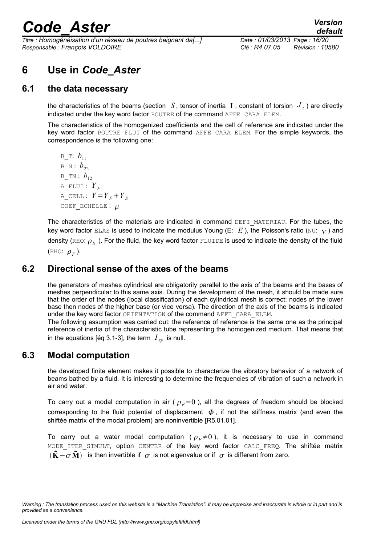*Titre : Homogénéisation d'un réseau de poutres baignant da[...] Date : 01/03/2013 Page : 16/20 Responsable : François VOLDOIRE Clé : R4.07.05 Révision : 10580*

### <span id="page-15-3"></span>**6 Use in** *Code\_Aster*

### **6.1 the data necessary**

<span id="page-15-2"></span>the characteristics of the beams (section  $|S|$ , tensor of inertia  $|{\bf I}|$ , constant of torsion  $|J_z|$ ) are directly indicated under the key word factor POUTRE of the command AFFE\_CARA\_ELEM.

The characteristics of the homogenized coefficients and the cell of reference are indicated under the key word factor POUTRE FLUI of the command AFFE CARA ELEM. For the simple keywords, the correspondence is the following one:

 $B$  T:  $b_{11}$  $B$  N :  $b_{22}$ B TN :  $b_{12}$ A FLUI :  $Y_F$ A CELL :  $Y = Y_F + Y_S$ COEF ECHELLE :  $\mu$ 

The characteristics of the materials are indicated in command DEFI\_MATERIAU. For the tubes, the key word factor ELAS is used to indicate the modulus Young (E:  $E$ ), the Poisson's ratio (NU:  $\gamma$ ) and density (RHO:  $\rho_{_S}$  ). For the fluid, the key word factor  $_{\rm FLULDE}$  is used to indicate the density of the fluid (RHO:  $\rho_F$ ).

### **6.2 Directional sense of the axes of the beams**

<span id="page-15-1"></span>the generators of meshes cylindrical are obligatorily parallel to the axis of the beams and the bases of meshes perpendicular to this same axis. During the development of the mesh, it should be made sure that the order of the nodes (local classification) of each cylindrical mesh is correct: nodes of the lower base then nodes of the higher base (or vice versa). The direction of the axis of the beams is indicated under the key word factor ORIENTATION of the command AFFE\_CARA\_ELEM.

The following assumption was carried out: the reference of reference is the same one as the principal reference of inertia of the characteristic tube representing the homogenized medium. That means that in the equations [éq 3.1-3], the term  $\overline{I}_{\mathrm{xy}}$  is null.

### **6.3 Modal computation**

<span id="page-15-0"></span>the developed finite element makes it possible to characterize the vibratory behavior of a network of beams bathed by a fluid. It is interesting to determine the frequencies of vibration of such a network in air and water.

To carry out a modal computation in air ( $\rho_F=0$ ), all the degrees of freedom should be blocked corresponding to the fluid potential of displacement  $\phi$ , if not the stiffness matrix (and even the shiftée matrix of the modal problem) are noninvertible [R5.01.01].

To carry out a water modal computation ( $\rho_F \neq 0$ ), it is necessary to use in command MODE ITER SIMULT, option CENTER of the key word factor CALC FREQ. The shiftée matrix  $(\tilde{\mathbf{K}} - \sigma \tilde{\mathbf{M}})$  is then invertible if  $\sigma$  is not eigenvalue or if  $\sigma$  is different from zero.

*Warning : The translation process used on this website is a "Machine Translation". It may be imprecise and inaccurate in whole or in part and is provided as a convenience.*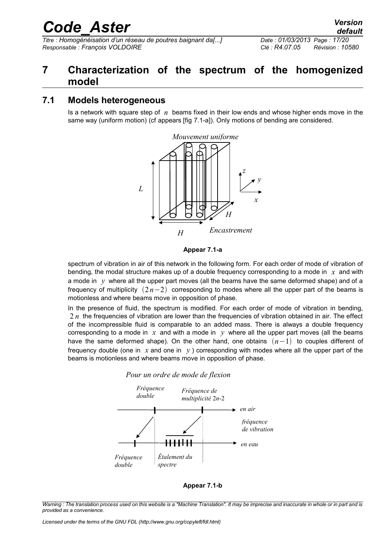*Titre : Homogénéisation d'un réseau de poutres baignant da[...] Date : 01/03/2013 Page : 17/20 Responsable : François VOLDOIRE Clé : R4.07.05 Révision : 10580*

## <span id="page-16-1"></span>**7 Characterization of the spectrum of the homogenized model**

### **7.1 Models heterogeneous**

<span id="page-16-0"></span>Is a network with square step of *n* beams fixed in their low ends and whose higher ends move in the same way (uniform motion) (cf appears [fig 7.1-a]). Only motions of bending are considered.





spectrum of vibration in air of this network in the following form. For each order of mode of vibration of bending, the modal structure makes up of a double frequency corresponding to a mode in *x* and with a mode in  $y$  where all the upper part moves (all the beams have the same deformed shape) and of a frequency of multiplicity  $(2n-2)$  corresponding to modes where all the upper part of the beams is motionless and where beams move in opposition of phase.

In the presence of fluid, the spectrum is modified. For each order of mode of vibration in bending, 2 *n* the frequencies of vibration are lower than the frequencies of vibration obtained in air. The effect of the incompressible fluid is comparable to an added mass. There is always a double frequency corresponding to a mode in  $x$  and with a mode in  $y$  where all the upper part moves (all the beams have the same deformed shape). On the other hand, one obtains  $(n-1)$  to couples different of frequency double (one in  $x$  and one in  $y$ ) corresponding with modes where all the upper part of the beams is motionless and where beams move in opposition of phase.





**Appear 7.1-b**

*Warning : The translation process used on this website is a "Machine Translation". It may be imprecise and inaccurate in whole or in part and is provided as a convenience.*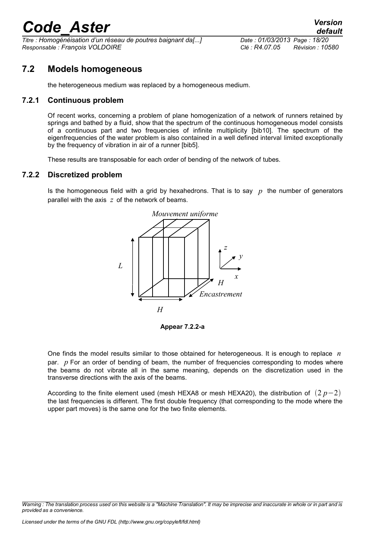*Titre : Homogénéisation d'un réseau de poutres baignant da[...] Date : 01/03/2013 Page : 18/20 Responsable : François VOLDOIRE Clé : R4.07.05 Révision : 10580*

### **7.2 Models homogeneous**

<span id="page-17-2"></span><span id="page-17-1"></span>the heterogeneous medium was replaced by a homogeneous medium.

#### **7.2.1 Continuous problem**

Of recent works, concerning a problem of plane homogenization of a network of runners retained by springs and bathed by a fluid, show that the spectrum of the continuous homogeneous model consists of a continuous part and two frequencies of infinite multiplicity [bib10]. The spectrum of the eigenfrequencies of the water problem is also contained in a well defined interval limited exceptionally by the frequency of vibration in air of a runner [bib5].

<span id="page-17-0"></span>These results are transposable for each order of bending of the network of tubes.

#### **7.2.2 Discretized problem**

Is the homogeneous field with a grid by hexahedrons. That is to say *p* the number of generators parallel with the axis *z* of the network of beams.



**Appear 7.2.2-a**

One finds the model results similar to those obtained for heterogeneous. It is enough to replace *n* par. *p* For an order of bending of beam, the number of frequencies corresponding to modes where the beams do not vibrate all in the same meaning, depends on the discretization used in the transverse directions with the axis of the beams.

According to the finite element used (mesh HEXA8 or mesh HEXA20), the distribution of  $(2 p-2)$ the last frequencies is different. The first double frequency (that corresponding to the mode where the upper part moves) is the same one for the two finite elements.

*Warning : The translation process used on this website is a "Machine Translation". It may be imprecise and inaccurate in whole or in part and is provided as a convenience.*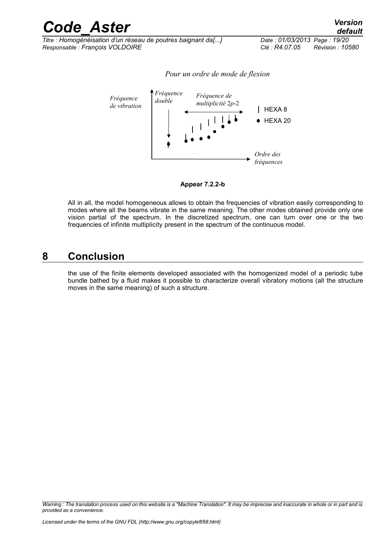| <b>Code Aster</b>                                            | <b>Version</b><br>default          |
|--------------------------------------------------------------|------------------------------------|
| Titre : Homogénéisation d'un réseau de poutres baignant da[] | Date: 01/03/2013 Page: 19/20       |
| Responsable : François VOLDOIRE                              | Clé : R4.07.05<br>Révision : 10580 |

*Titre : Homogénéisation d'un réseau de poutres baignant da[...] Date : 01/03/2013 Page : 19/20*





#### **Appear 7.2.2-b**

All in all, the model homogeneous allows to obtain the frequencies of vibration easily corresponding to modes where all the beams vibrate in the same meaning. The other modes obtained provide only one vision partial of the spectrum. In the discretized spectrum, one can turn over one or the two frequencies of infinite multiplicity present in the spectrum of the continuous model.

## **8 Conclusion**

<span id="page-18-0"></span>the use of the finite elements developed associated with the homogenized model of a periodic tube bundle bathed by a fluid makes it possible to characterize overall vibratory motions (all the structure moves in the same meaning) of such a structure.

*Warning : The translation process used on this website is a "Machine Translation". It may be imprecise and inaccurate in whole or in part and is provided as a convenience.*